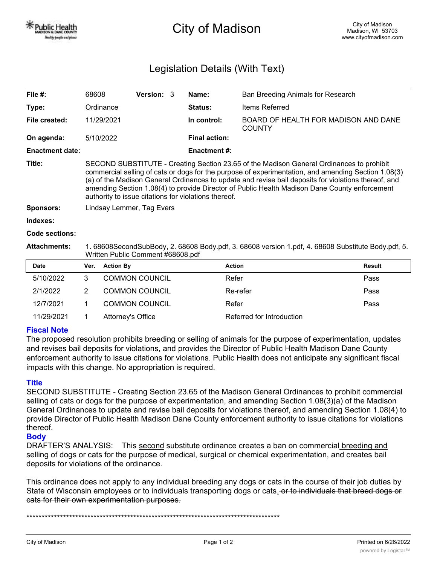City of Madison

## Legislation Details (With Text)

| File $#$ :             | 68608                                                                                                                                                                                                                                                                                                                                                                                                                                                            | <b>Version: 3</b> |  | Name:                | Ban Breeding Animals for Research                     |  |  |
|------------------------|------------------------------------------------------------------------------------------------------------------------------------------------------------------------------------------------------------------------------------------------------------------------------------------------------------------------------------------------------------------------------------------------------------------------------------------------------------------|-------------------|--|----------------------|-------------------------------------------------------|--|--|
| Type:                  | Ordinance                                                                                                                                                                                                                                                                                                                                                                                                                                                        |                   |  | <b>Status:</b>       | <b>Items Referred</b>                                 |  |  |
| File created:          | 11/29/2021                                                                                                                                                                                                                                                                                                                                                                                                                                                       |                   |  | In control:          | BOARD OF HEALTH FOR MADISON AND DANE<br><b>COUNTY</b> |  |  |
| On agenda:             | 5/10/2022                                                                                                                                                                                                                                                                                                                                                                                                                                                        |                   |  | <b>Final action:</b> |                                                       |  |  |
| <b>Enactment date:</b> |                                                                                                                                                                                                                                                                                                                                                                                                                                                                  |                   |  | Enactment #:         |                                                       |  |  |
| Title:                 | SECOND SUBSTITUTE - Creating Section 23.65 of the Madison General Ordinances to prohibit<br>commercial selling of cats or dogs for the purpose of experimentation, and amending Section 1.08(3)<br>(a) of the Madison General Ordinances to update and revise bail deposits for violations thereof, and<br>amending Section 1.08(4) to provide Director of Public Health Madison Dane County enforcement<br>authority to issue citations for violations thereof. |                   |  |                      |                                                       |  |  |
| <b>Sponsors:</b>       | Lindsay Lemmer, Tag Evers                                                                                                                                                                                                                                                                                                                                                                                                                                        |                   |  |                      |                                                       |  |  |
| Indexes:               |                                                                                                                                                                                                                                                                                                                                                                                                                                                                  |                   |  |                      |                                                       |  |  |
| Code sections:         |                                                                                                                                                                                                                                                                                                                                                                                                                                                                  |                   |  |                      |                                                       |  |  |
| <b>Attachments:</b>    | 1. 68608SecondSubBody, 2. 68608 Body.pdf, 3. 68608 version 1.pdf, 4. 68608 Substitute Body.pdf, 5.<br>Written Public Comment #68608.pdf                                                                                                                                                                                                                                                                                                                          |                   |  |                      |                                                       |  |  |
|                        |                                                                                                                                                                                                                                                                                                                                                                                                                                                                  |                   |  |                      |                                                       |  |  |

| Date       | Ver. | <b>Action By</b>      | <b>Action</b>             | <b>Result</b> |
|------------|------|-----------------------|---------------------------|---------------|
| 5/10/2022  |      | <b>COMMON COUNCIL</b> | Refer                     | Pass          |
| 2/1/2022   |      | <b>COMMON COUNCIL</b> | Re-refer                  | Pass          |
| 12/7/2021  |      | <b>COMMON COUNCIL</b> | Refer                     | Pass          |
| 11/29/2021 |      | Attorney's Office     | Referred for Introduction |               |

## **Fiscal Note**

The proposed resolution prohibits breeding or selling of animals for the purpose of experimentation, updates and revises bail deposits for violations, and provides the Director of Public Health Madison Dane County enforcement authority to issue citations for violations. Public Health does not anticipate any significant fiscal impacts with this change. No appropriation is required.

## **Title**

SECOND SUBSTITUTE - Creating Section 23.65 of the Madison General Ordinances to prohibit commercial selling of cats or dogs for the purpose of experimentation, and amending Section 1.08(3)(a) of the Madison General Ordinances to update and revise bail deposits for violations thereof, and amending Section 1.08(4) to provide Director of Public Health Madison Dane County enforcement authority to issue citations for violations thereof.

## **Body**

DRAFTER'S ANALYSIS: This second substitute ordinance creates a ban on commercial breeding and selling of dogs or cats for the purpose of medical, surgical or chemical experimentation, and creates bail deposits for violations of the ordinance.

This ordinance does not apply to any individual breeding any dogs or cats in the course of their job duties by State of Wisconsin employees or to individuals transporting dogs or cats. or to individuals that breed dogs or cats for their own experimentation purposes.

\*\*\*\*\*\*\*\*\*\*\*\*\*\*\*\*\*\*\*\*\*\*\*\*\*\*\*\*\*\*\*\*\*\*\*\*\*\*\*\*\*\*\*\*\*\*\*\*\*\*\*\*\*\*\*\*\*\*\*\*\*\*\*\*\*\*\*\*\*\*\*\*\*\*\*\*\*\*\*\*\*\*\*